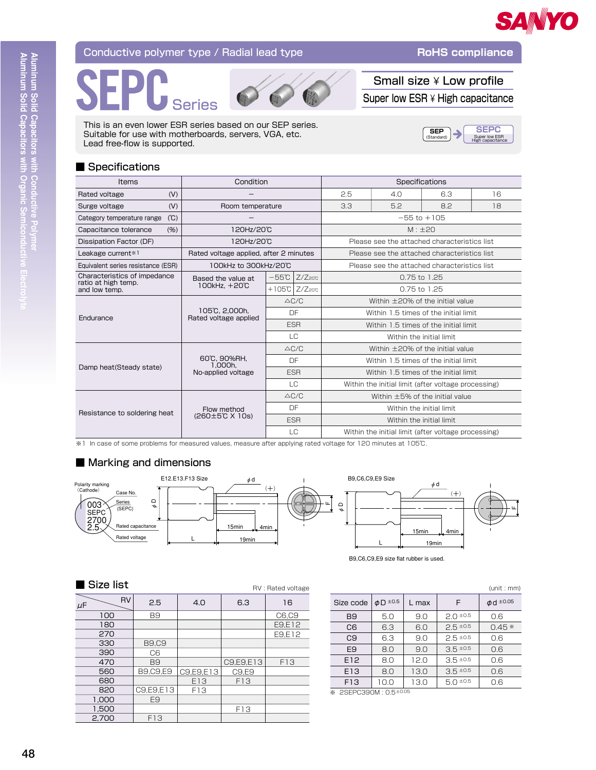

## Conductive polymer type / Radial lead type

Aluminum Solid Capacitors with Conductive Polymer<br>Aluminum Solid Capacitors with Organic Semiconductive Elect





Small size ¥ Low profile Super low  $ESR \times H$  High capacitance

**RoHS** compliance

**SEPC**  $SEP$ (Standard Super low ESR<br>High canacitans

This is an even lower ESR series based on our SEP series. Suitable for use with motherboards, servers, VGA, etc. Lead free-flow is supported.

### Specifications

| <b>Items</b>                                        | Condition                               |                                        |                                     | Specifications                                      |                 |     |    |
|-----------------------------------------------------|-----------------------------------------|----------------------------------------|-------------------------------------|-----------------------------------------------------|-----------------|-----|----|
| (V)<br>Rated voltage                                |                                         |                                        | 2.5                                 | 4.0                                                 | 6.3             | 16  |    |
| (V)<br>Surge voltage                                | Room temperature                        |                                        |                                     | 3.3                                                 | 5.2             | 8.2 | 18 |
| (C)<br>Category temperature range                   |                                         |                                        |                                     |                                                     | $-55$ to $+105$ |     |    |
| Capacitance tolerance<br>(%)                        | 120Hz/20C                               |                                        |                                     | $M: \pm 20$                                         |                 |     |    |
| Dissipation Factor (DF)                             | 120Hz/20C                               |                                        |                                     | Please see the attached characteristics list        |                 |     |    |
| Leakage current*1                                   | Rated voltage applied, after 2 minutes  |                                        |                                     | Please see the attached characteristics list        |                 |     |    |
| Equivalent series resistance (ESR)                  | 100kHz to 300kHz/20°C                   |                                        |                                     | Please see the attached characteristics list        |                 |     |    |
| Characteristics of impedance<br>ratio at high temp. | Based the value at                      | $-55C$                                 | $Z/Z$ 200                           | 0.75 to 1.25                                        |                 |     |    |
| and low temp.                                       | 100kHz, +20°C                           |                                        | $+105^\circ$ C $Z/Z$ <sub>20°</sub> | $0.75$ to $1.25$                                    |                 |     |    |
|                                                     | 105°C, 2,000h.<br>Rated voltage applied | $\triangle C/C$                        |                                     | Within $\pm$ 20% of the initial value               |                 |     |    |
| Endurance                                           |                                         |                                        | DF                                  | Within 1.5 times of the initial limit               |                 |     |    |
|                                                     |                                         | <b>ESR</b>                             |                                     | Within 1.5 times of the initial limit               |                 |     |    |
|                                                     |                                         | $\overline{C}$                         |                                     | Within the initial limit                            |                 |     |    |
|                                                     |                                         | $\triangle$ C/C                        |                                     | Within $\pm$ 20% of the initial value               |                 |     |    |
|                                                     | 60°C, 90%RH.<br>1.000h.                 | DF                                     |                                     | Within 1.5 times of the initial limit               |                 |     |    |
| Damp heat (Steady state)                            | No-applied voltage                      | <b>FSR</b>                             |                                     | Within 1.5 times of the initial limit               |                 |     |    |
|                                                     |                                         | LC                                     |                                     | Within the initial limit (after voltage processing) |                 |     |    |
|                                                     |                                         |                                        | $\triangle$ C/C                     | Within $\pm$ 5% of the initial value                |                 |     |    |
| Resistance to soldering heat                        | Flow method<br>(260±5℃ X 10s)           |                                        | DF                                  | Within the initial limit                            |                 |     |    |
|                                                     |                                         | <b>FSR</b><br>Within the initial limit |                                     |                                                     |                 |     |    |
|                                                     |                                         |                                        | LC                                  | Within the initial limit (after voltage processing) |                 |     |    |

\*1 In case of some problems for measured values, measure after applying rated voltage for 120 minutes at 105℃.

# Marking and dimensions



RV : Rated voltage

B9,C6,C9,E9 size flat rubber is used.

#### Size list

| <b>RV</b><br>$\mu$ F | 2.5             | 4.0       | 6.3       | 16     |
|----------------------|-----------------|-----------|-----------|--------|
| 100                  | B <sub>9</sub>  |           |           | C6,C9  |
| 180                  |                 |           |           | E9,E12 |
| 270                  |                 |           |           | E9,E12 |
| 330                  | <b>B9,C9</b>    |           |           |        |
| 390                  | C6              |           |           |        |
| 470                  | B <sub>9</sub>  |           | C9,E9,E13 | F13    |
| 560                  | <b>B9,C9,E9</b> | C9,E9,E13 | C9,E9     |        |
| 680                  |                 | E13       | F13       |        |
| 820                  | C9,E9,E13       | F13       |           |        |
| 1,000                | E <sub>9</sub>  |           |           |        |
| 1,500                |                 |           | F13       |        |
| 2,700                | F13             |           |           |        |

|                 |               |       |               | (unit:mm)      |
|-----------------|---------------|-------|---------------|----------------|
| Size code       | $\phi$ D ±0.5 | L max | F             | $\phi$ d ±0.05 |
| B9              | 5.0           | 9.0   | $2.0 \pm 0.5$ | 0.6            |
| C6              | 6.3           | 6.0   | $2.5 \pm 0.5$ | $0.45*$        |
| C <sub>9</sub>  | 6.3           | 9.0   | $2.5 \pm 0.5$ | 0.6            |
| E <sub>9</sub>  | 8.0           | 9.0   | $3.5 \pm 0.5$ | 0.6            |
| E12             | 8.0           | 12.0  | $3.5 \pm 0.5$ | 0.6            |
| E13             | 8.0           | 13.0  | $3.5 \pm 0.5$ | 0.6            |
| F <sub>13</sub> | 10.0          | 13.0  | $5.0 \pm 0.5$ | 0.6            |

※ 2SEPC390M: 0.5±0.05